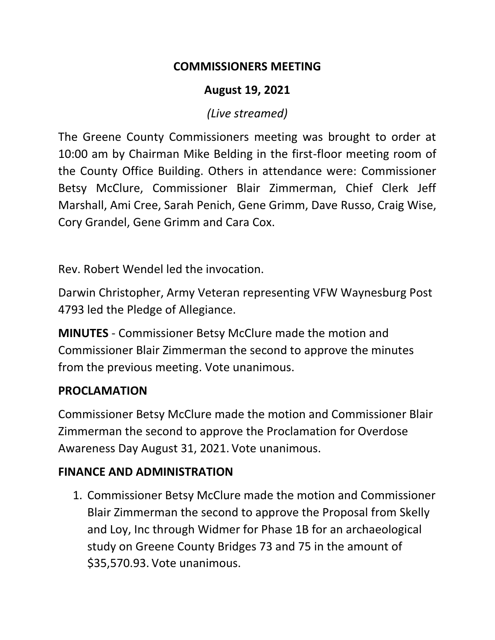#### **COMMISSIONERS MEETING**

### **August 19, 2021**

#### *(Live streamed)*

The Greene County Commissioners meeting was brought to order at 10:00 am by Chairman Mike Belding in the first-floor meeting room of the County Office Building. Others in attendance were: Commissioner Betsy McClure, Commissioner Blair Zimmerman, Chief Clerk Jeff Marshall, Ami Cree, Sarah Penich, Gene Grimm, Dave Russo, Craig Wise, Cory Grandel, Gene Grimm and Cara Cox.

Rev. Robert Wendel led the invocation.

Darwin Christopher, Army Veteran representing VFW Waynesburg Post 4793 led the Pledge of Allegiance.

**MINUTES** - Commissioner Betsy McClure made the motion and Commissioner Blair Zimmerman the second to approve the minutes from the previous meeting. Vote unanimous.

#### **PROCLAMATION**

Commissioner Betsy McClure made the motion and Commissioner Blair Zimmerman the second to approve the Proclamation for Overdose Awareness Day August 31, 2021. Vote unanimous.

## **FINANCE AND ADMINISTRATION**

1. Commissioner Betsy McClure made the motion and Commissioner Blair Zimmerman the second to approve the Proposal from Skelly and Loy, Inc through Widmer for Phase 1B for an archaeological study on Greene County Bridges 73 and 75 in the amount of \$35,570.93. Vote unanimous.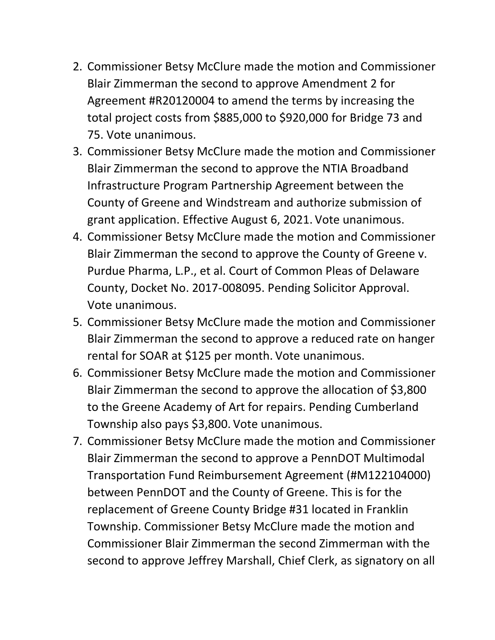- 2. Commissioner Betsy McClure made the motion and Commissioner Blair Zimmerman the second to approve Amendment 2 for Agreement #R20120004 to amend the terms by increasing the total project costs from \$885,000 to \$920,000 for Bridge 73 and 75. Vote unanimous.
- 3. Commissioner Betsy McClure made the motion and Commissioner Blair Zimmerman the second to approve the NTIA Broadband Infrastructure Program Partnership Agreement between the County of Greene and Windstream and authorize submission of grant application. Effective August 6, 2021. Vote unanimous.
- 4. Commissioner Betsy McClure made the motion and Commissioner Blair Zimmerman the second to approve the County of Greene v. Purdue Pharma, L.P., et al. Court of Common Pleas of Delaware County, Docket No. 2017-008095. Pending Solicitor Approval. Vote unanimous.
- 5. Commissioner Betsy McClure made the motion and Commissioner Blair Zimmerman the second to approve a reduced rate on hanger rental for SOAR at \$125 per month. Vote unanimous.
- 6. Commissioner Betsy McClure made the motion and Commissioner Blair Zimmerman the second to approve the allocation of \$3,800 to the Greene Academy of Art for repairs. Pending Cumberland Township also pays \$3,800. Vote unanimous.
- 7. Commissioner Betsy McClure made the motion and Commissioner Blair Zimmerman the second to approve a PennDOT Multimodal Transportation Fund Reimbursement Agreement (#M122104000) between PennDOT and the County of Greene. This is for the replacement of Greene County Bridge #31 located in Franklin Township. Commissioner Betsy McClure made the motion and Commissioner Blair Zimmerman the second Zimmerman with the second to approve Jeffrey Marshall, Chief Clerk, as signatory on all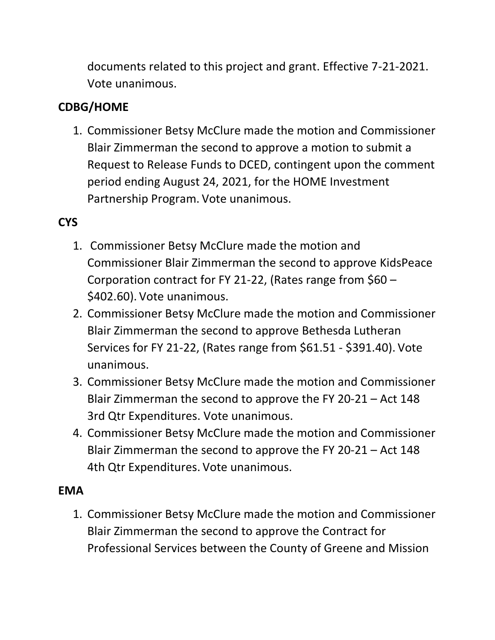documents related to this project and grant. Effective 7-21-2021. Vote unanimous.

# **CDBG/HOME**

1. Commissioner Betsy McClure made the motion and Commissioner Blair Zimmerman the second to approve a motion to submit a Request to Release Funds to DCED, contingent upon the comment period ending August 24, 2021, for the HOME Investment Partnership Program. Vote unanimous.

# **CYS**

- 1. Commissioner Betsy McClure made the motion and Commissioner Blair Zimmerman the second to approve KidsPeace Corporation contract for FY 21-22, (Rates range from \$60 – \$402.60). Vote unanimous.
- 2. Commissioner Betsy McClure made the motion and Commissioner Blair Zimmerman the second to approve Bethesda Lutheran Services for FY 21-22, (Rates range from \$61.51 - \$391.40). Vote unanimous.
- 3. Commissioner Betsy McClure made the motion and Commissioner Blair Zimmerman the second to approve the FY 20-21 – Act 148 3rd Qtr Expenditures. Vote unanimous.
- 4. Commissioner Betsy McClure made the motion and Commissioner Blair Zimmerman the second to approve the FY 20-21 – Act 148 4th Qtr Expenditures. Vote unanimous.

#### **EMA**

1. Commissioner Betsy McClure made the motion and Commissioner Blair Zimmerman the second to approve the Contract for Professional Services between the County of Greene and Mission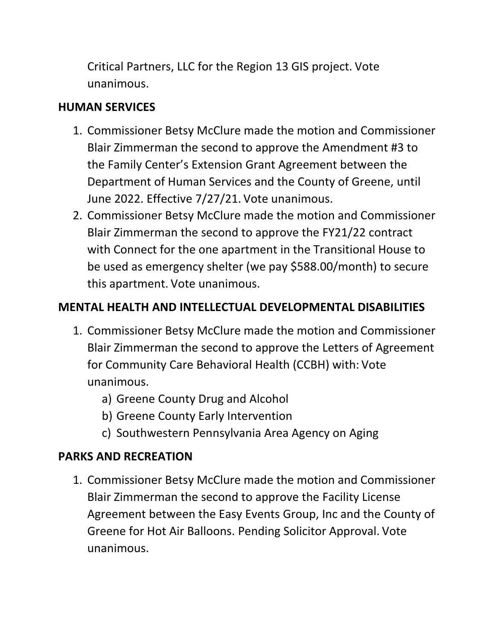Critical Partners, LLC for the Region 13 GIS project. Vote unanimous.

#### **HUMAN SERVICES**

- 1. Commissioner Betsy McClure made the motion and Commissioner Blair Zimmerman the second to approve the Amendment #3 to the Family Center's Extension Grant Agreement between the Department of Human Services and the County of Greene, until June 2022. Effective 7/27/21. Vote unanimous.
- 2. Commissioner Betsy McClure made the motion and Commissioner Blair Zimmerman the second to approve the FY21/22 contract with Connect for the one apartment in the Transitional House to be used as emergency shelter (we pay \$588.00/month) to secure this apartment. Vote unanimous.

## **MENTAL HEALTH AND INTELLECTUAL DEVELOPMENTAL DISABILITIES**

- 1. Commissioner Betsy McClure made the motion and Commissioner Blair Zimmerman the second to approve the Letters of Agreement for Community Care Behavioral Health (CCBH) with: Vote unanimous.
	- a) Greene County Drug and Alcohol
	- b) Greene County Early Intervention
	- c) Southwestern Pennsylvania Area Agency on Aging

## **PARKS AND RECREATION**

1. Commissioner Betsy McClure made the motion and Commissioner Blair Zimmerman the second to approve the Facility License Agreement between the Easy Events Group, Inc and the County of Greene for Hot Air Balloons. Pending Solicitor Approval. Vote unanimous.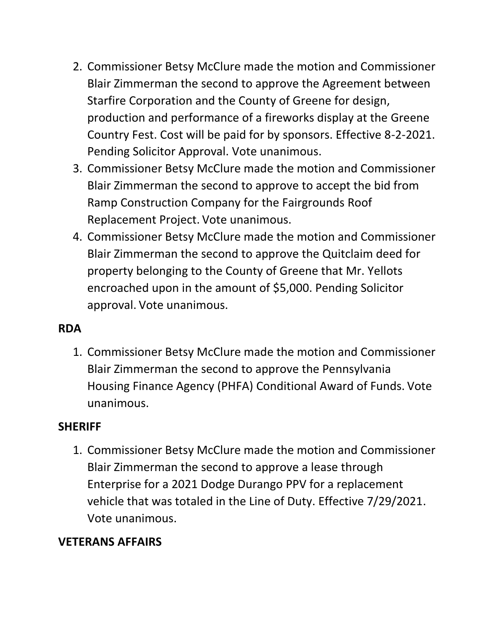- 2. Commissioner Betsy McClure made the motion and Commissioner Blair Zimmerman the second to approve the Agreement between Starfire Corporation and the County of Greene for design, production and performance of a fireworks display at the Greene Country Fest. Cost will be paid for by sponsors. Effective 8-2-2021. Pending Solicitor Approval. Vote unanimous.
- 3. Commissioner Betsy McClure made the motion and Commissioner Blair Zimmerman the second to approve to accept the bid from Ramp Construction Company for the Fairgrounds Roof Replacement Project. Vote unanimous.
- 4. Commissioner Betsy McClure made the motion and Commissioner Blair Zimmerman the second to approve the Quitclaim deed for property belonging to the County of Greene that Mr. Yellots encroached upon in the amount of \$5,000. Pending Solicitor approval. Vote unanimous.

#### **RDA**

1. Commissioner Betsy McClure made the motion and Commissioner Blair Zimmerman the second to approve the Pennsylvania Housing Finance Agency (PHFA) Conditional Award of Funds. Vote unanimous.

#### **SHERIFF**

1. Commissioner Betsy McClure made the motion and Commissioner Blair Zimmerman the second to approve a lease through Enterprise for a 2021 Dodge Durango PPV for a replacement vehicle that was totaled in the Line of Duty. Effective 7/29/2021. Vote unanimous.

## **VETERANS AFFAIRS**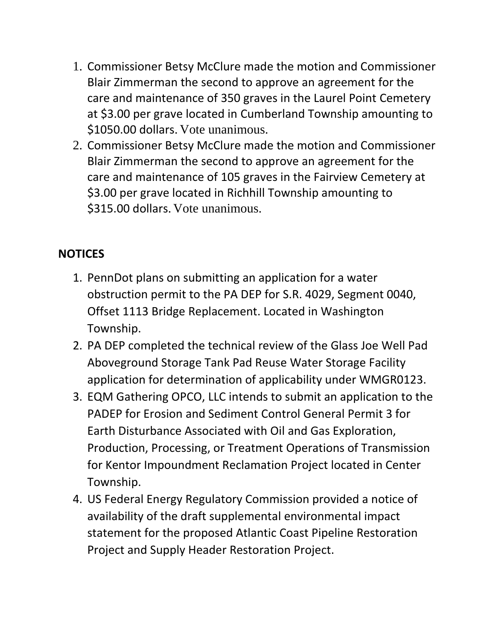- 1. Commissioner Betsy McClure made the motion and Commissioner Blair Zimmerman the second to approve an agreement for the care and maintenance of 350 graves in the Laurel Point Cemetery at \$3.00 per grave located in Cumberland Township amounting to \$1050.00 dollars. Vote unanimous.
- 2. Commissioner Betsy McClure made the motion and Commissioner Blair Zimmerman the second to approve an agreement for the care and maintenance of 105 graves in the Fairview Cemetery at \$3.00 per grave located in Richhill Township amounting to \$315.00 dollars. Vote unanimous.

## **NOTICES**

- 1. PennDot plans on submitting an application for a water obstruction permit to the PA DEP for S.R. 4029, Segment 0040, Offset 1113 Bridge Replacement. Located in Washington Township.
- 2. PA DEP completed the technical review of the Glass Joe Well Pad Aboveground Storage Tank Pad Reuse Water Storage Facility application for determination of applicability under WMGR0123.
- 3. EQM Gathering OPCO, LLC intends to submit an application to the PADEP for Erosion and Sediment Control General Permit 3 for Earth Disturbance Associated with Oil and Gas Exploration, Production, Processing, or Treatment Operations of Transmission for Kentor Impoundment Reclamation Project located in Center Township.
- 4. US Federal Energy Regulatory Commission provided a notice of availability of the draft supplemental environmental impact statement for the proposed Atlantic Coast Pipeline Restoration Project and Supply Header Restoration Project.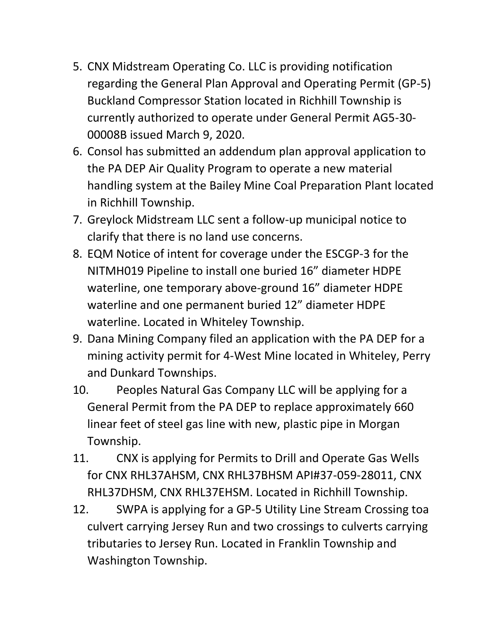- 5. CNX Midstream Operating Co. LLC is providing notification regarding the General Plan Approval and Operating Permit (GP-5) Buckland Compressor Station located in Richhill Township is currently authorized to operate under General Permit AG5-30- 00008B issued March 9, 2020.
- 6. Consol has submitted an addendum plan approval application to the PA DEP Air Quality Program to operate a new material handling system at the Bailey Mine Coal Preparation Plant located in Richhill Township.
- 7. Greylock Midstream LLC sent a follow-up municipal notice to clarify that there is no land use concerns.
- 8. EQM Notice of intent for coverage under the ESCGP-3 for the NITMH019 Pipeline to install one buried 16" diameter HDPE waterline, one temporary above-ground 16" diameter HDPE waterline and one permanent buried 12" diameter HDPE waterline. Located in Whiteley Township.
- 9. Dana Mining Company filed an application with the PA DEP for a mining activity permit for 4-West Mine located in Whiteley, Perry and Dunkard Townships.
- 10. Peoples Natural Gas Company LLC will be applying for a General Permit from the PA DEP to replace approximately 660 linear feet of steel gas line with new, plastic pipe in Morgan Township.
- 11. CNX is applying for Permits to Drill and Operate Gas Wells for CNX RHL37AHSM, CNX RHL37BHSM API#37-059-28011, CNX RHL37DHSM, CNX RHL37EHSM. Located in Richhill Township.
- 12. SWPA is applying for a GP-5 Utility Line Stream Crossing toa culvert carrying Jersey Run and two crossings to culverts carrying tributaries to Jersey Run. Located in Franklin Township and Washington Township.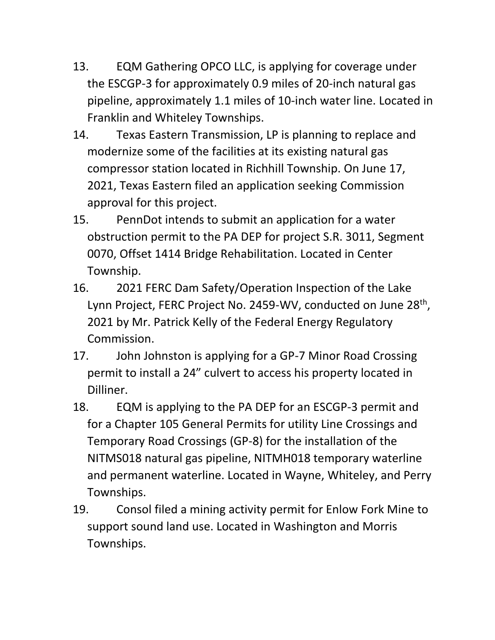- 13. EQM Gathering OPCO LLC, is applying for coverage under the ESCGP-3 for approximately 0.9 miles of 20-inch natural gas pipeline, approximately 1.1 miles of 10-inch water line. Located in Franklin and Whiteley Townships.
- 14. Texas Eastern Transmission, LP is planning to replace and modernize some of the facilities at its existing natural gas compressor station located in Richhill Township. On June 17, 2021, Texas Eastern filed an application seeking Commission approval for this project.
- 15. PennDot intends to submit an application for a water obstruction permit to the PA DEP for project S.R. 3011, Segment 0070, Offset 1414 Bridge Rehabilitation. Located in Center Township.
- 16. 2021 FERC Dam Safety/Operation Inspection of the Lake Lynn Project, FERC Project No. 2459-WV, conducted on June 28<sup>th</sup>, 2021 by Mr. Patrick Kelly of the Federal Energy Regulatory Commission.
- 17. John Johnston is applying for a GP-7 Minor Road Crossing permit to install a 24" culvert to access his property located in Dilliner.
- 18. EQM is applying to the PA DEP for an ESCGP-3 permit and for a Chapter 105 General Permits for utility Line Crossings and Temporary Road Crossings (GP-8) for the installation of the NITMS018 natural gas pipeline, NITMH018 temporary waterline and permanent waterline. Located in Wayne, Whiteley, and Perry Townships.
- 19. Consol filed a mining activity permit for Enlow Fork Mine to support sound land use. Located in Washington and Morris Townships.